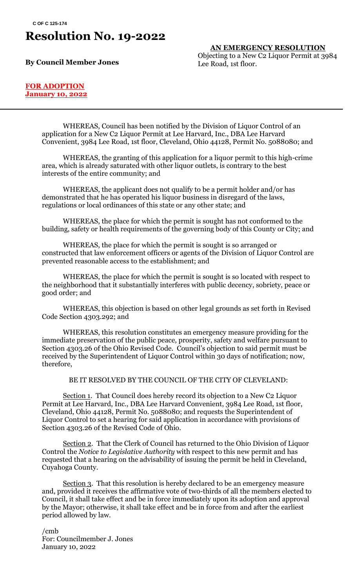## **Resolution No. 19-2022**

**By Council Member Jones**

**AN EMERGENCY RESOLUTION** Objecting to a New C2 Liquor Permit at 3984 Lee Road, 1st floor.

#### **FOR ADOPTION January 10, 2022**

WHEREAS, Council has been notified by the Division of Liquor Control of an application for a New C2 Liquor Permit at Lee Harvard, Inc., DBA Lee Harvard Convenient, 3984 Lee Road, 1st floor, Cleveland, Ohio 44128, Permit No. 5088080; and

WHEREAS, the granting of this application for a liquor permit to this high-crime area, which is already saturated with other liquor outlets, is contrary to the best interests of the entire community; and

WHEREAS, the applicant does not qualify to be a permit holder and/or has demonstrated that he has operated his liquor business in disregard of the laws, regulations or local ordinances of this state or any other state; and

WHEREAS, the place for which the permit is sought has not conformed to the building, safety or health requirements of the governing body of this County or City; and

WHEREAS, the place for which the permit is sought is so arranged or constructed that law enforcement officers or agents of the Division of Liquor Control are prevented reasonable access to the establishment; and

WHEREAS, the place for which the permit is sought is so located with respect to the neighborhood that it substantially interferes with public decency, sobriety, peace or good order; and

WHEREAS, this objection is based on other legal grounds as set forth in Revised Code Section 4303.292; and

WHEREAS, this resolution constitutes an emergency measure providing for the immediate preservation of the public peace, prosperity, safety and welfare pursuant to Section 4303.26 of the Ohio Revised Code. Council's objection to said permit must be received by the Superintendent of Liquor Control within 30 days of notification; now, therefore,

### BE IT RESOLVED BY THE COUNCIL OF THE CITY OF CLEVELAND:

Section 1. That Council does hereby record its objection to a New C2 Liquor Permit at Lee Harvard, Inc., DBA Lee Harvard Convenient, 3984 Lee Road, 1st floor, Cleveland, Ohio 44128, Permit No. 5088080; and requests the Superintendent of Liquor Control to set a hearing for said application in accordance with provisions of Section 4303.26 of the Revised Code of Ohio.

Section 2. That the Clerk of Council has returned to the Ohio Division of Liquor Control the *Notice to Legislative Authority* with respect to this new permit and has requested that a hearing on the advisability of issuing the permit be held in Cleveland, Cuyahoga County.

Section 3. That this resolution is hereby declared to be an emergency measure and, provided it receives the affirmative vote of two-thirds of all the members elected to Council, it shall take effect and be in force immediately upon its adoption and approval by the Mayor; otherwise, it shall take effect and be in force from and after the earliest period allowed by law.

/cmb For: Councilmember J. Jones January 10, 2022